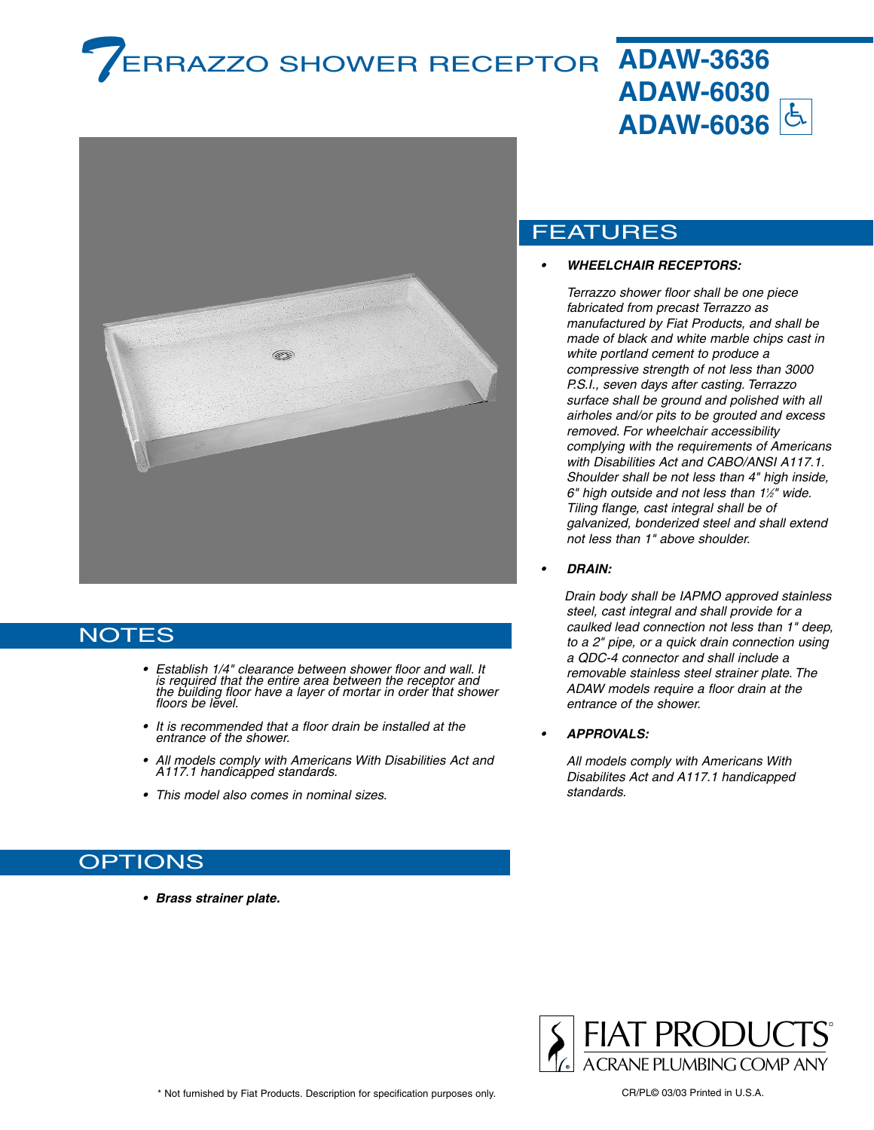# *T*ERRAZZO SHOWER RECEPTOR



### **NOTES**

- *• Establish 1/4" clearance between shower floor and wall. It is required that the entire area between the receptor and the building floor have a layer of mortar in order that shower floors be level.*
- *• It is recommended that a floor drain be installed at the entrance of the shower.*
- *• All models comply with Americans With Disabilities Act and A117.1 handicapped standards.*
- *• This model also comes in nominal sizes.*

## **OPTIONS**

*• Brass strainer plate.*

## FEATURES

#### *• WHEELCHAIR RECEPTORS:*

*Terrazzo shower floor shall be one piece fabricated from precast Terrazzo as manufactured by Fiat Products, and shall be made of black and white marble chips cast in white portland cement to produce a compressive strength of not less than 3000 P.S.I., seven days after casting. Terrazzo surface shall be ground and polished with all airholes and/or pits to be grouted and excess removed. For wheelchair accessibility complying with the requirements of Americans with Disabilities Act and CABO/ANSI A117.1. Shoulder shall be not less than 4" high inside, 6" high outside and not less than 11 ⁄2" wide. Tiling flange, cast integral shall be of galvanized, bonderized steel and shall extend not less than 1" above shoulder.*

**ADAW-3636**

**ADAW-6030**

**ADAW-6036**

 $\overline{\overline{\mathcal{F}}}$ 

#### *• DRAIN:*

*Drain body shall be IAPMO approved stainless steel, cast integral and shall provide for a caulked lead connection not less than 1" deep, to a 2" pipe, or a quick drain connection using a QDC-4 connector and shall include a removable stainless steel strainer plate. The ADAW models require a floor drain at the entrance of the shower.*

#### *• APPROVALS:*

*All models comply with Americans With Disabilites Act and A117.1 handicapped standards.*